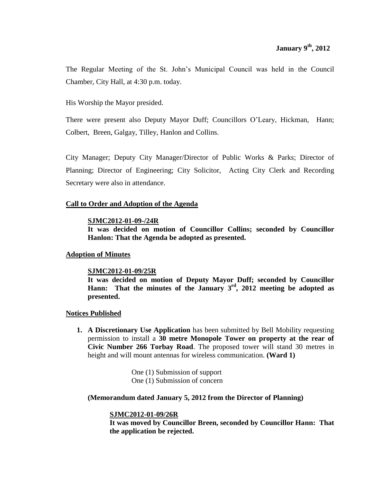The Regular Meeting of the St. John's Municipal Council was held in the Council Chamber, City Hall, at 4:30 p.m. today.

His Worship the Mayor presided.

There were present also Deputy Mayor Duff; Councillors O'Leary, Hickman, Hann; Colbert, Breen, Galgay, Tilley, Hanlon and Collins.

City Manager; Deputy City Manager/Director of Public Works & Parks; Director of Planning; Director of Engineering; City Solicitor, Acting City Clerk and Recording Secretary were also in attendance.

# **Call to Order and Adoption of the Agenda**

#### **SJMC2012-01-09-/24R**

**It was decided on motion of Councillor Collins; seconded by Councillor Hanlon: That the Agenda be adopted as presented.**

# **Adoption of Minutes**

## **SJMC2012-01-09/25R**

**It was decided on motion of Deputy Mayor Duff; seconded by Councillor Hann: That the minutes of the January 3rd , 2012 meeting be adopted as presented.**

## **Notices Published**

**1. A Discretionary Use Application** has been submitted by Bell Mobility requesting permission to install a **30 metre Monopole Tower on property at the rear of Civic Number 266 Torbay Road**. The proposed tower will stand 30 metres in height and will mount antennas for wireless communication. **(Ward 1)**

> One (1) Submission of support One (1) Submission of concern

## **(Memorandum dated January 5, 2012 from the Director of Planning)**

## **SJMC2012-01-09/26R**

**It was moved by Councillor Breen, seconded by Councillor Hann: That the application be rejected.**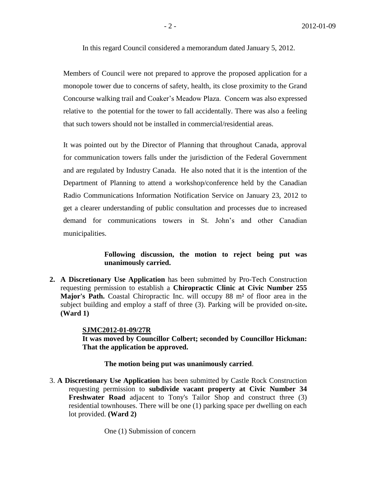In this regard Council considered a memorandum dated January 5, 2012.

Members of Council were not prepared to approve the proposed application for a monopole tower due to concerns of safety, health, its close proximity to the Grand Concourse walking trail and Coaker's Meadow Plaza. Concern was also expressed relative to the potential for the tower to fall accidentally. There was also a feeling that such towers should not be installed in commercial/residential areas.

It was pointed out by the Director of Planning that throughout Canada, approval for communication towers falls under the jurisdiction of the Federal Government and are regulated by Industry Canada. He also noted that it is the intention of the Department of Planning to attend a workshop/conference held by the Canadian Radio Communications Information Notification Service on January 23, 2012 to get a clearer understanding of public consultation and processes due to increased demand for communications towers in St. John's and other Canadian municipalities.

#### **Following discussion, the motion to reject being put was unanimously carried.**

**2. A Discretionary Use Application** has been submitted by Pro-Tech Construction requesting permission to establish a **Chiropractic Clinic at Civic Number 255 Major's Path.** Coastal Chiropractic Inc. will occupy 88 m² of floor area in the subject building and employ a staff of three (3). Parking will be provided on-site**. (Ward 1)**

#### **SJMC2012-01-09/27R**

**It was moved by Councillor Colbert; seconded by Councillor Hickman: That the application be approved.**

#### **The motion being put was unanimously carried**.

3. **A Discretionary Use Application** has been submitted by Castle Rock Construction requesting permission to **subdivide vacant property at Civic Number 34 Freshwater Road** adjacent to Tony's Tailor Shop and construct three (3) residential townhouses. There will be one (1) parking space per dwelling on each lot provided. **(Ward 2)**

One (1) Submission of concern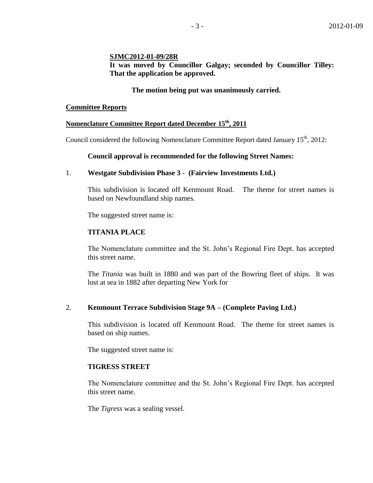#### **SJMC2012-01-09/28R**

**It was moved by Councillor Galgay; seconded by Councillor Tilley: That the application be approved.** 

### **The motion being put was unanimously carried.**

#### **Committee Reports**

# **Nomenclature Committee Report dated December 15th , 2011**

Council considered the following Nomenclature Committee Report dated January 15<sup>th</sup>, 2012:

#### **Council approval is recommended for the following Street Names:**

#### 1. **Westgate Subdivision Phase 3 - (Fairview Investments Ltd.)**

This subdivision is located off Kenmount Road. The theme for street names is based on Newfoundland ship names.

The suggested street name is:

## **TITANIA PLACE**

The Nomenclature committee and the St. John's Regional Fire Dept. has accepted this street name.

The *Titania* was built in 1880 and was part of the Bowring fleet of ships. It was lost at sea in 1882 after departing New York for

## 2. **Kenmount Terrace Subdivision Stage 9A – (Complete Paving Ltd.)**

This subdivision is located off Kenmount Road. The theme for street names is based on ship names.

The suggested street name is:

# **TIGRESS STREET**

The Nomenclature committee and the St. John's Regional Fire Dept. has accepted this street name.

The *Tigress* was a sealing vessel.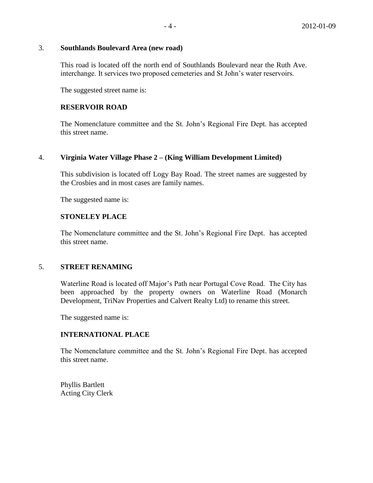#### 3. **Southlands Boulevard Area (new road)**

This road is located off the north end of Southlands Boulevard near the Ruth Ave. interchange. It services two proposed cemeteries and St John's water reservoirs.

The suggested street name is:

# **RESERVOIR ROAD**

The Nomenclature committee and the St. John's Regional Fire Dept. has accepted this street name.

# 4. **Virginia Water Village Phase 2 – (King William Development Limited)**

This subdivision is located off Logy Bay Road. The street names are suggested by the Crosbies and in most cases are family names.

The suggested name is:

# **STONELEY PLACE**

The Nomenclature committee and the St. John's Regional Fire Dept. has accepted this street name.

## 5. **STREET RENAMING**

Waterline Road is located off Major's Path near Portugal Cove Road. The City has been approached by the property owners on Waterline Road (Monarch Development, TriNav Properties and Calvert Realty Ltd) to rename this street.

The suggested name is:

## **INTERNATIONAL PLACE**

The Nomenclature committee and the St. John's Regional Fire Dept. has accepted this street name.

Phyllis Bartlett Acting City Clerk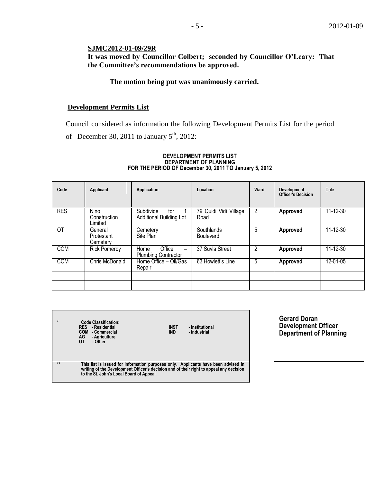# **SJMC2012-01-09/29R**

**It was moved by Councillor Colbert; seconded by Councillor O'Leary: That the Committee's recommendations be approved.**

### **The motion being put was unanimously carried.**

#### **Development Permits List**

Council considered as information the following Development Permits List for the period of December 30, 2011 to January  $5<sup>th</sup>$ , 2012:

#### **DEVELOPMENT PERMITS LIST DEPARTMENT OF PLANNING FOR THE PERIOD OF December 30, 2011 TO January 5, 2012**

| Code       | Applicant                         | Application                                         | Location                              | Ward | <b>Development</b><br><b>Officer's Decision</b> | Date     |
|------------|-----------------------------------|-----------------------------------------------------|---------------------------------------|------|-------------------------------------------------|----------|
| <b>RES</b> | Nino<br>Construction<br>Limited   | Subdivide<br>for<br><b>Additional Building Lot</b>  | 79 Quidi Vidi Village<br>Road         | 2    | Approved                                        | 11-12-30 |
| 0T         | General<br>Protestant<br>Cemetery | Cemetery<br>Site Plan                               | <b>Southlands</b><br><b>Boulevard</b> | 5    | Approved                                        | 11-12-30 |
| <b>COM</b> | <b>Rick Pomeroy</b>               | Office<br><b>Home</b><br><b>Plumbing Contractor</b> | 37 Suvla Street                       | 2    | Approved                                        | 11-12-30 |
| <b>COM</b> | Chris McDonald                    | Home Office - Oil/Gas<br>Repair                     | 63 Howlett's Line                     | 5    | Approved                                        | 12-01-05 |
|            |                                   |                                                     |                                       |      |                                                 |          |
|            |                                   |                                                     |                                       |      |                                                 |          |

| $\star$ | <b>Code Classification:</b><br><b>RES</b> - Residential<br><b>INST</b><br>- Institutional<br>COM - Commercial<br><b>IND</b><br>- Industrial<br>- Agriculture<br>AG<br>OТ<br>- Other                                       |
|---------|---------------------------------------------------------------------------------------------------------------------------------------------------------------------------------------------------------------------------|
| $**$    | This list is issued for information purposes only. Applicants have been advised in<br>writing of the Development Officer's decision and of their right to appeal any decision<br>to the St. John's Local Board of Appeal. |
|         |                                                                                                                                                                                                                           |

**Gerard Doran Development Officer Department of Planning**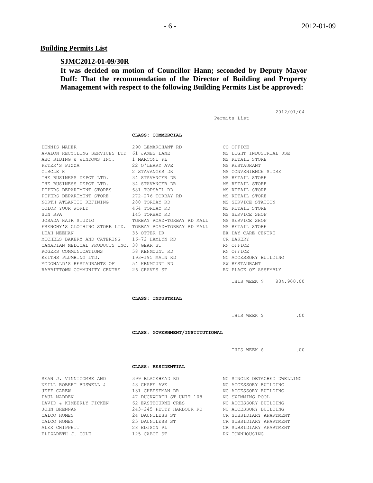### **Building Permits List**

#### **SJMC2012-01-09/30R**

**It was decided on motion of Councillor Hann; seconded by Deputy Mayor Duff: That the recommendation of the Director of Building and Property Management with respect to the following Building Permits List be approved:**

```
Permits List
```
2012/01/04

## **CLASS: COMMERCIAL**

|                                           | DENNIS MAHER 290 LEMARCHANT RD CO OFFICE                                  |                        |
|-------------------------------------------|---------------------------------------------------------------------------|------------------------|
|                                           | AVALON RECYCLING SERVICES LTD 61 JAMES LANE THE MISS LIGHT INDUSTRIAL USE |                        |
|                                           | ABC SIDING & WINDOWS INC. 1 MARCONI PL                                    | MS RETAIL STORE        |
|                                           | PETER'S PIZZA 22 O'LEARY AVE                                              | MS RESTAURANT          |
|                                           | CIRCLE K 2 STAVANGER DR MS CONVENIENCE STORE                              |                        |
|                                           | THE BUSINESS DEPOT LTD. 34 STAVANGER DR                                   | MS RETAIL STORE        |
|                                           | THE BUSINESS DEPOT LTD. 34 STAVANGER DR                                   | MS RETAIL STORE        |
|                                           | PIPERS DEPARTMENT STORES 681 TOPSAIL RD                                   | MS RETAIL STORE        |
|                                           | PIPERS DEPARTMENT STORE 272-276 TORBAY RD                                 | MS RETAIL STORE        |
|                                           | NORTH ATLANTIC REFINING 280 TORBAY RD                                     | MS SERVICE STATION     |
|                                           | COLOR YOUR WORLD $464$ TORBAY RD MS RETAIL STORE                          |                        |
|                                           |                                                                           |                        |
|                                           | JOSADA HAIR STUDIO TORBAY ROAD-TORBAY RD MALL MS SERVICE SHOP             |                        |
|                                           | FRENCHY'S CLOTHING STORE LTD. TORBAY ROAD-TORBAY RD MALL MS RETAIL STORE  |                        |
|                                           |                                                                           |                        |
|                                           | MICHELS BAKERY AND CATERING 16-72 HAMLYN RD CR BAKERY                     |                        |
| CANADIAN MEDICAL PRODUCTS INC. 38 GEAR ST |                                                                           | RN OFFICE              |
|                                           | ROGERS COMMUNICATIONS 58 KENMOUNT RD                                      | RN OFFICE              |
|                                           | KEITHS PLUMBING LTD. 193-195 MAIN RD                                      | NC ACCESSORY BUILDING  |
| MCDONALD'S RESTAURANTS OF 54 KENMOUNT RD  |                                                                           | SW RESTAURANT          |
|                                           | RABBITTOWN COMMUNITY CENTRE 26 GRAVES ST                                  | RN PLACE OF ASSEMBLY   |
|                                           |                                                                           | THIS WEEK \$834,900.00 |

**CLASS: INDUSTRIAL**

THIS WEEK \$ .00

**CLASS: GOVERNMENT/INSTITUTIONAL**

THIS WEEK \$ .00

#### **CLASS: RESIDENTIAL**

| SEAN J. VINNICOMBE AND              | 399 BLACKHEAD RD                                                                              | NC SINGLE DETACHED DWELLING |
|-------------------------------------|-----------------------------------------------------------------------------------------------|-----------------------------|
| NEILL ROBERT BUSWELL & 43 CHAFE AVE |                                                                                               | NC ACCESSORY BUILDING       |
| JEFF CAREW                          | 131 CHEESEMAN DR                                                                              | NC ACCESSORY BUILDING       |
| PAUL MADDEN                         | 47 DUCKWORTH ST-UNIT 108 MC SWIMMING POOL                                                     |                             |
|                                     | DAVID & KIMBERLY FICKEN             62 EASTBOURNE CRES                  NC ACCESSORY BUILDING |                             |
| JOHN BRENNAN                        | 243-245 PETTY HARBOUR RD NC ACCESSORY BUILDING                                                |                             |
| CALCO HOMES                         | 24 DAUNTLESS ST                                                                               | CR SUBSIDIARY APARTMENT     |
| CALCO HOMES                         | 25 DAUNTLESS ST                                                                               | CR SUBSIDIARY APARTMENT     |
| ALEX CHIPPETT                       | 28 EDISON PL                                                                                  | CR SUBSIDIARY APARTMENT     |
| ELIZABETH J. COLE                   | 125 CABOT ST                                                                                  | RN TOWNHOUSING              |
|                                     |                                                                                               |                             |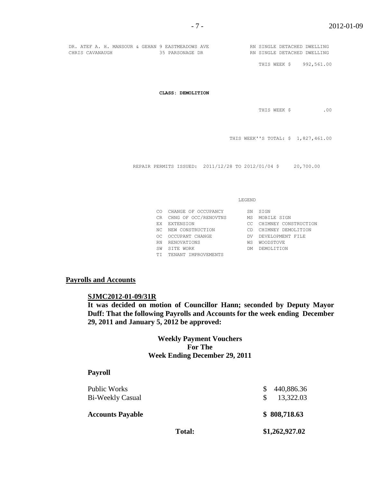|                 |  |  | DR. ATEF A. H. MANSOUR & GEHAN 9 EASTMEADOWS AVE |  | RN SINGLE DETACHED DWELLING |  |
|-----------------|--|--|--------------------------------------------------|--|-----------------------------|--|
| CHRIS CAVANAUGH |  |  | 35 PARSONAGE DR                                  |  | RN SINGLE DETACHED DWELLING |  |

THIS WEEK \$ 992,561.00

**CLASS: DEMOLITION**

THIS WEEK \$ .00

THIS WEEK''S TOTAL: \$ 1,827,461.00

REPAIR PERMITS ISSUED: 2011/12/28 TO 2012/01/04 \$ 20,700.00

LEGEND

|     | CO CHANGE OF OCCUPANCY  | SN. | STGN                    |
|-----|-------------------------|-----|-------------------------|
|     | CR CHNG OF OCC/RENOVTNS | MS  | MOBILE SIGN             |
|     | EX EXTENSION            |     | CC CHIMNEY CONSTRUCTION |
|     | NC NEW CONSTRUCTION     | CD. | CHIMNEY DEMOLITION      |
| OC. | OCCUPANT CHANGE         | DV. | DEVELOPMENT FILE        |
| RN  | RENOVATIONS             | WS  | <b>WOODSTOVE</b>        |
| SW  | SITE WORK               | DM. | DEMOLITION              |
|     | TI TENANT IMPROVEMENTS  |     |                         |

# **Payrolls and Accounts**

#### **SJMC2012-01-09/31R**

**It was decided on motion of Councillor Hann; seconded by Deputy Mayor Duff: That the following Payrolls and Accounts for the week ending December 29, 2011 and January 5, 2012 be approved:** 

> **Weekly Payment Vouchers For The Week Ending December 29, 2011**

#### **Payroll**

| Public Works<br>Bi-Weekly Casual |               | 440,886.36<br>13,322.03 |
|----------------------------------|---------------|-------------------------|
| <b>Accounts Payable</b>          |               | \$808,718.63            |
|                                  | <b>Total:</b> | \$1,262,927.02          |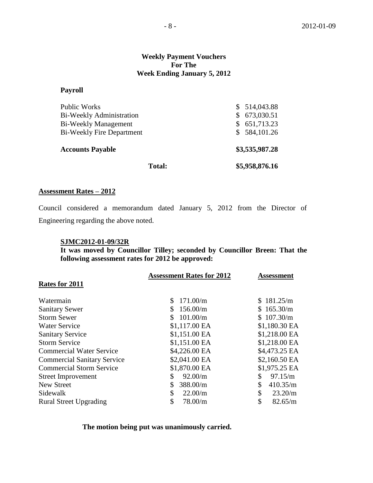### **Weekly Payment Vouchers For The Week Ending January 5, 2012**

#### **Payroll**

| <b>Total:</b>                    | \$5,958,876.16 |  |
|----------------------------------|----------------|--|
| <b>Accounts Payable</b>          | \$3,535,987.28 |  |
| <b>Bi-Weekly Fire Department</b> | \$584,101.26   |  |
| Bi-Weekly Management             | \$651,713.23   |  |
| <b>Bi-Weekly Administration</b>  | 673,030.51     |  |
| <b>Public Works</b>              | \$514,043.88   |  |

#### **Assessment Rates – 2012**

Council considered a memorandum dated January 5, 2012 from the Director of Engineering regarding the above noted.

#### **SJMC2012-01-09/32R**

**It was moved by Councillor Tilley; seconded by Councillor Breen: That the following assessment rates for 2012 be approved:**

|                                    | <b>Assessment Rates for 2012</b> | <b>Assessment</b> |
|------------------------------------|----------------------------------|-------------------|
| Rates for 2011                     |                                  |                   |
| Watermain                          | 171.00/m<br>\$                   | \$181.25/m        |
| <b>Sanitary Sewer</b>              | 156.00/m<br>S.                   | \$165.30/m        |
| <b>Storm Sewer</b>                 | 101.00/m                         | \$107.30/m        |
| <b>Water Service</b>               | \$1,117.00 EA                    | \$1,180.30 EA     |
| <b>Sanitary Service</b>            | \$1,151.00 EA                    | \$1,218.00 EA     |
| <b>Storm Service</b>               | \$1,151.00 EA                    | \$1,218.00 EA     |
| <b>Commercial Water Service</b>    | \$4,226.00 EA                    | \$4,473.25 EA     |
| <b>Commercial Sanitary Service</b> | \$2,041.00 EA                    | \$2,160.50 EA     |
| <b>Commercial Storm Service</b>    | \$1,870.00 EA                    | \$1,975.25 EA     |
| <b>Street Improvement</b>          | 92.00/m<br>\$                    | \$<br>97.15/m     |
| <b>New Street</b>                  | \$<br>388.00/m                   | \$<br>410.35/m    |
| Sidewalk                           | \$<br>22.00/m                    | \$<br>23.20/m     |
| <b>Rural Street Upgrading</b>      | \$<br>78.00/m                    | \$<br>82.65/m     |

**The motion being put was unanimously carried.**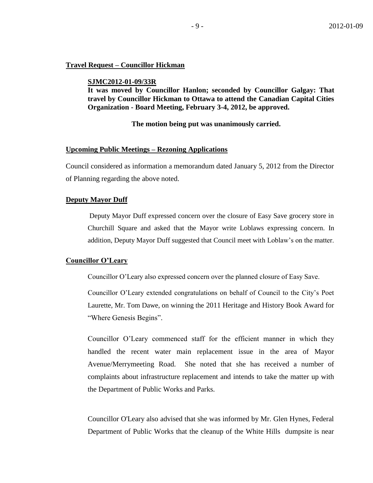#### **Travel Request – Councillor Hickman**

**SJMC2012-01-09/33R**

**It was moved by Councillor Hanlon; seconded by Councillor Galgay: That travel by Councillor Hickman to Ottawa to attend the Canadian Capital Cities Organization - Board Meeting, February 3-4, 2012, be approved.**

#### **The motion being put was unanimously carried.**

#### **Upcoming Public Meetings – Rezoning Applications**

Council considered as information a memorandum dated January 5, 2012 from the Director of Planning regarding the above noted.

#### **Deputy Mayor Duff**

Deputy Mayor Duff expressed concern over the closure of Easy Save grocery store in Churchill Square and asked that the Mayor write Loblaws expressing concern. In addition, Deputy Mayor Duff suggested that Council meet with Loblaw's on the matter.

#### **Councillor O'Leary**

Councillor O'Leary also expressed concern over the planned closure of Easy Save.

Councillor O'Leary extended congratulations on behalf of Council to the City's Poet Laurette, Mr. Tom Dawe, on winning the 2011 Heritage and History Book Award for "Where Genesis Begins".

Councillor O'Leary commenced staff for the efficient manner in which they handled the recent water main replacement issue in the area of Mayor Avenue/Merrymeeting Road. She noted that she has received a number of complaints about infrastructure replacement and intends to take the matter up with the Department of Public Works and Parks.

Councillor O'Leary also advised that she was informed by Mr. Glen Hynes, Federal Department of Public Works that the cleanup of the White Hills dumpsite is near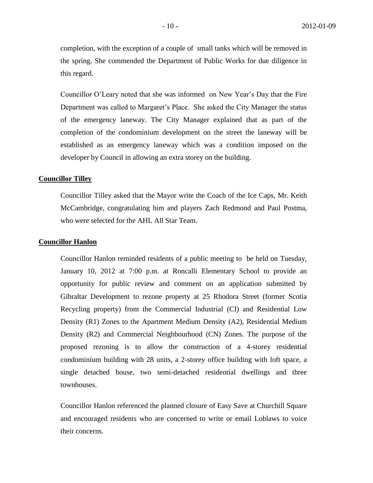completion, with the exception of a couple of small tanks which will be removed in the spring. She commended the Department of Public Works for due diligence in this regard.

Councillor O'Leary noted that she was informed on New Year's Day that the Fire Department was called to Margaret's Place. She asked the City Manager the status of the emergency laneway. The City Manager explained that as part of the completion of the condominium development on the street the laneway will be established as an emergency laneway which was a condition imposed on the developer by Council in allowing an extra storey on the building.

#### **Councillor Tilley**

Councillor Tilley asked that the Mayor write the Coach of the Ice Caps, Mr. Keith McCambridge, congratulating him and players Zach Redmond and Paul Postma, who were selected for the AHL All Star Team.

#### **Councillor Hanlon**

Councillor Hanlon reminded residents of a public meeting to be held on Tuesday, January 10, 2012 at 7:00 p.m. at Roncalli Elementary School to provide an opportunity for public review and comment on an application submitted by Gibraltar Development to rezone property at 25 Rhodora Street (former Scotia Recycling property) from the Commercial Industrial (CI) and Residential Low Density (R1) Zones to the Apartment Medium Density (A2), Residential Medium Density (R2) and Commercial Neighbourhood (CN) Zones. The purpose of the proposed rezoning is to allow the construction of a 4-storey residential condominium building with 28 units, a 2-storey office building with loft space, a single detached house, two semi-detached residential dwellings and three townhouses.

Councillor Hanlon referenced the planned closure of Easy Save at Churchill Square and encouraged residents who are concerned to write or email Loblaws to voice their concerns.